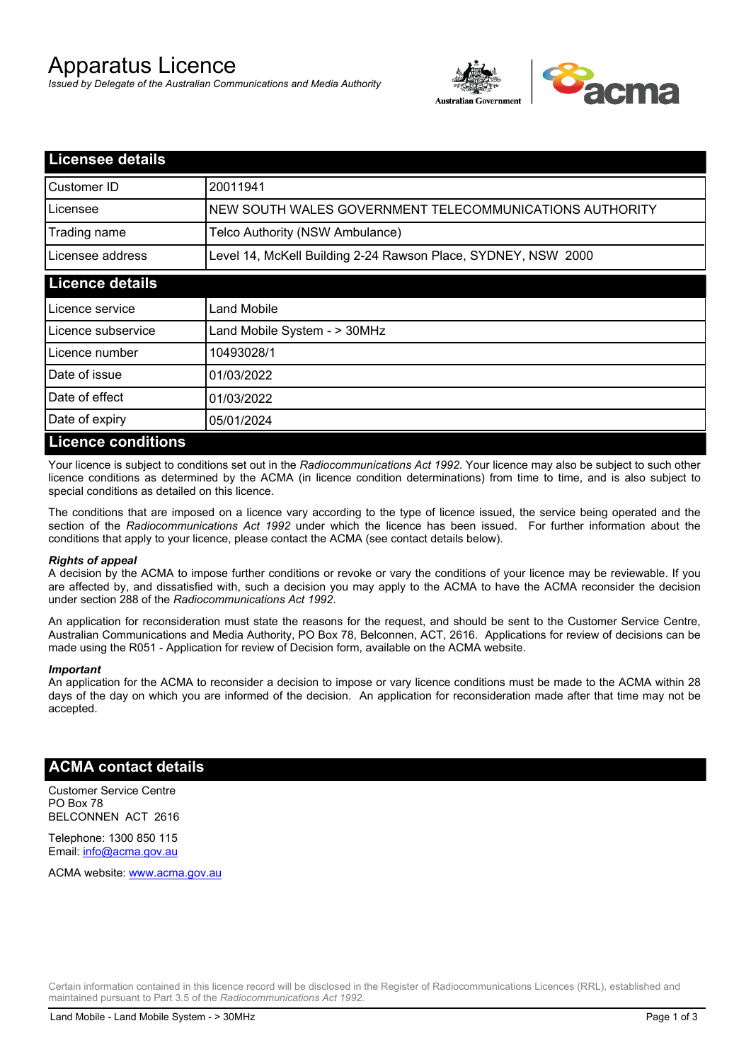# Apparatus Licence

*Issued by Delegate of the Australian Communications and Media Authority*



| <b>Licensee details</b>   |                                                               |  |
|---------------------------|---------------------------------------------------------------|--|
| Customer ID               | 20011941                                                      |  |
| Licensee                  | NEW SOUTH WALES GOVERNMENT TELECOMMUNICATIONS AUTHORITY       |  |
| Trading name              | Telco Authority (NSW Ambulance)                               |  |
| Licensee address          | Level 14, McKell Building 2-24 Rawson Place, SYDNEY, NSW 2000 |  |
| <b>Licence details</b>    |                                                               |  |
| l Licence service         | <b>Land Mobile</b>                                            |  |
| Licence subservice        | Land Mobile System - > 30MHz                                  |  |
| Licence number            | 10493028/1                                                    |  |
| Date of issue             | 01/03/2022                                                    |  |
| Date of effect            | 01/03/2022                                                    |  |
| Date of expiry            | 05/01/2024                                                    |  |
| <b>Licence conditions</b> |                                                               |  |

Your licence is subject to conditions set out in the *Radiocommunications Act 1992*. Your licence may also be subject to such other licence conditions as determined by the ACMA (in licence condition determinations) from time to time, and is also subject to special conditions as detailed on this licence.

The conditions that are imposed on a licence vary according to the type of licence issued, the service being operated and the section of the *Radiocommunications Act 1992* under which the licence has been issued. For further information about the conditions that apply to your licence, please contact the ACMA (see contact details below).

#### *Rights of appeal*

A decision by the ACMA to impose further conditions or revoke or vary the conditions of your licence may be reviewable. If you are affected by, and dissatisfied with, such a decision you may apply to the ACMA to have the ACMA reconsider the decision under section 288 of the *Radiocommunications Act 1992*.

An application for reconsideration must state the reasons for the request, and should be sent to the Customer Service Centre, Australian Communications and Media Authority, PO Box 78, Belconnen, ACT, 2616. Applications for review of decisions can be made using the R051 - Application for review of Decision form, available on the ACMA website.

#### *Important*

An application for the ACMA to reconsider a decision to impose or vary licence conditions must be made to the ACMA within 28 days of the day on which you are informed of the decision. An application for reconsideration made after that time may not be accepted.

### **ACMA contact details**

Customer Service Centre PO Box 78 BELCONNEN ACT 2616

Telephone: 1300 850 115 Email: info@acma.gov.au

ACMA website: www.acma.gov.au

Certain information contained in this licence record will be disclosed in the Register of Radiocommunications Licences (RRL), established and maintained pursuant to Part 3.5 of the *Radiocommunications Act 1992.*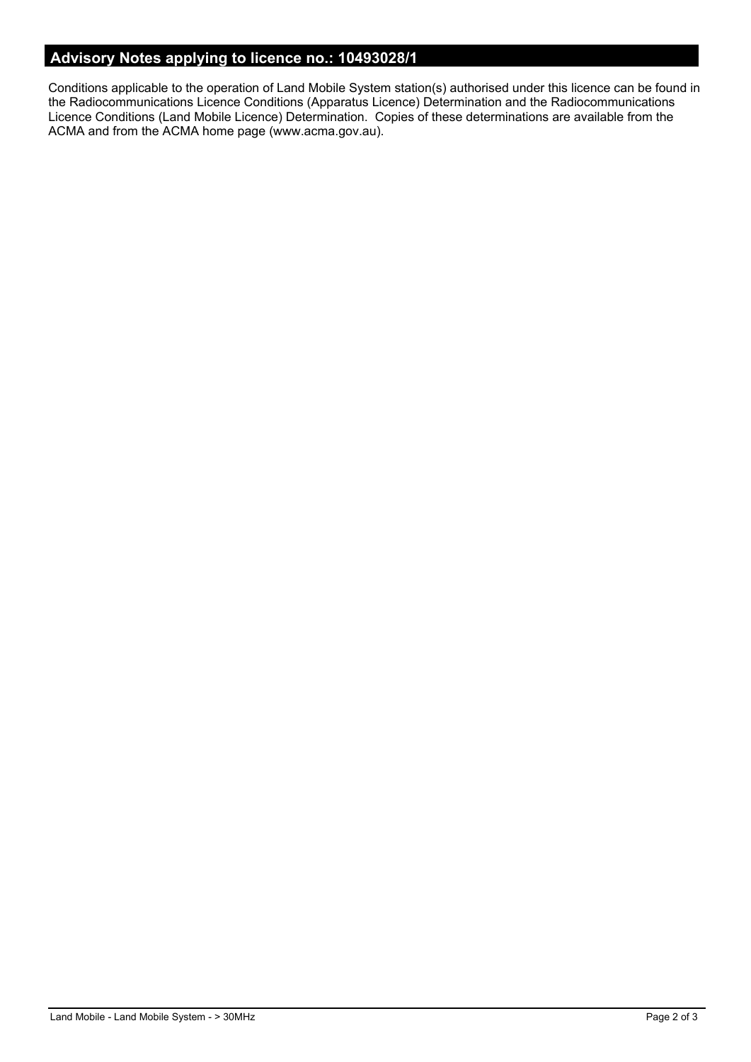# **Advisory Notes applying to licence no.: 10493028/1**

Conditions applicable to the operation of Land Mobile System station(s) authorised under this licence can be found in the Radiocommunications Licence Conditions (Apparatus Licence) Determination and the Radiocommunications Licence Conditions (Land Mobile Licence) Determination. Copies of these determinations are available from the ACMA and from the ACMA home page (www.acma.gov.au).